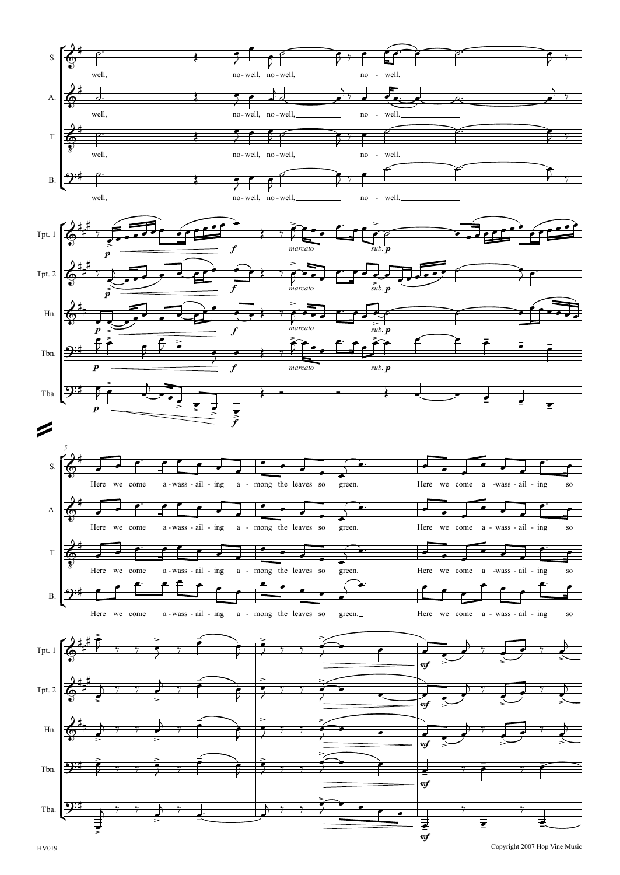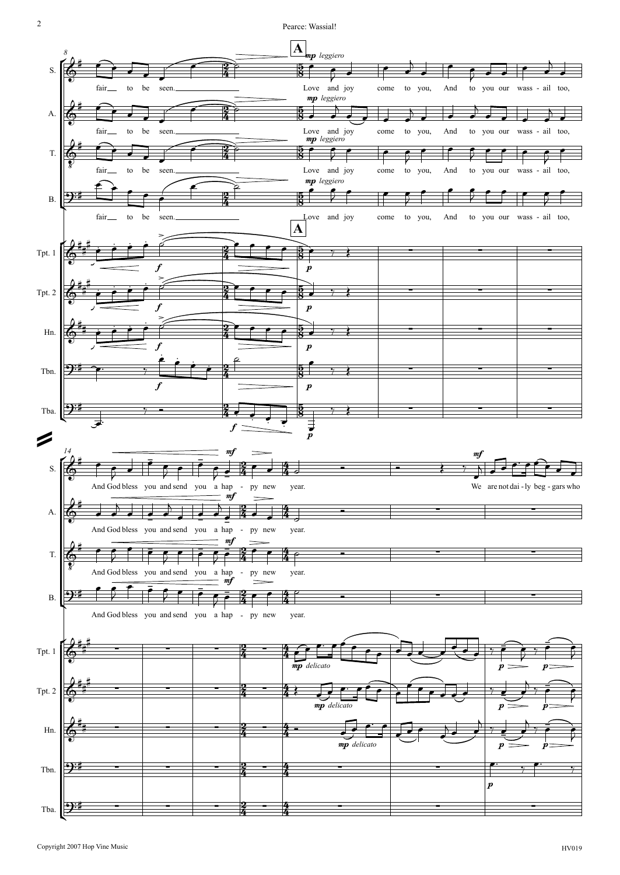

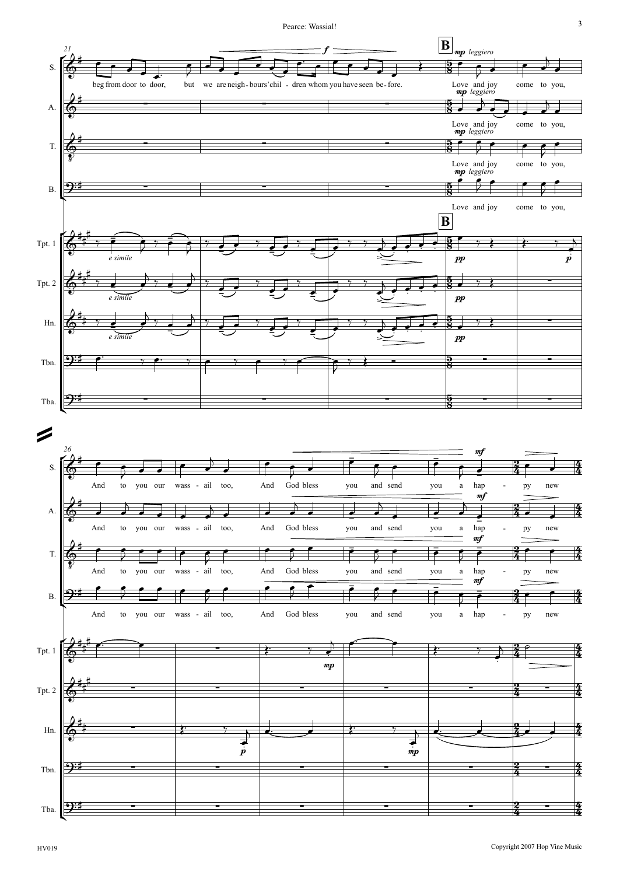Pearce: Wassial! Wassial!



HV019